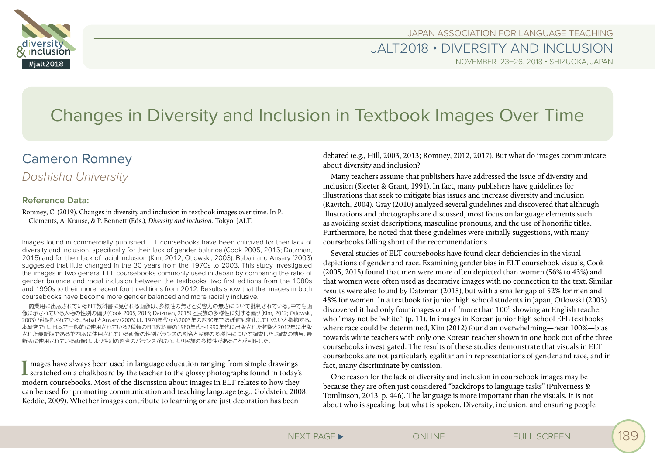



JALT2018 • DIVERSITY AND INCLUSION

NOVEMBER 23–26, 2018 • SHIZUOKA, JAPAN

# Changes in Diversity and Inclusion in Textbook Images Over Time

## Cameron Romney

## *Doshisha University*

## **Reference Data:**

Romney, C. (2019). Changes in diversity and inclusion in textbook images over time. In P. Clements, A. Krause, & P. Bennett (Eds.), *Diversity and inclusion*. Tokyo: JALT.

Images found in commercially published ELT coursebooks have been criticized for their lack of diversity and inclusion, specifically for their lack of gender balance (Cook 2005, 2015; Datzman, 2015) and for their lack of racial inclusion (Kim, 2012; Otlowski, 2003). Babaii and Ansary (2003) suggested that little changed in the 30 years from the 1970s to 2003. This study investigated the images in two general EFL coursebooks commonly used in Japan by comparing the ratio of gender balance and racial inclusion between the textbooks' two first editions from the 1980s and 1990s to their more recent fourth editions from 2012. Results show that the images in both coursebooks have become more gender balanced and more racially inclusive.

商業用に出版されているELT教科書に見られる画像は、多様性の無さと受容力の無さについて批判されている。中でも画 像に示されている人物の性別の偏り(Cook 2005, 2015; Datzman, 2015)と民族の多様性に対する偏り(Kim, 2012; Otlowski, 2003)が指摘されている。BabaiiとAnsary(2003)は、1970年代から2003年の約30年でほぼ何も変化していないと指摘する。 本研究では、日本で一般的に使用されている2種類のELT教科書の1980年代〜1990年代に出版された初版と2012年に出版 された最新版である第四版に使用されている画像の性別バランスの割合と民族の多様性について調査した。調査の結果、最 新版に使用されている画像は、より性別の割合のバランスが取れ、より民族の多様性があることが判明した。

I mages have always been used in language education ranging from simple drawings scratched on a chalkboard by the teacher to the glossy photographs found in today's mages have always been used in language education ranging from simple drawings modern coursebooks. Most of the discussion about images in ELT relates to how they can be used for promoting communication and teaching language (e.g., Goldstein, 2008; Keddie, 2009). Whether images contribute to learning or are just decoration has been

debated (e.g., Hill, 2003, 2013; Romney, 2012, 2017). But what do images communicate about diversity and inclusion?

Many teachers assume that publishers have addressed the issue of diversity and inclusion (Sleeter & Grant, 1991). In fact, many publishers have guidelines for illustrations that seek to mitigate bias issues and increase diversity and inclusion (Ravitch, 2004). Gray (2010) analyzed several guidelines and discovered that although illustrations and photographs are discussed, most focus on language elements such as avoiding sexist descriptions, masculine pronouns, and the use of honorific titles. Furthermore, he noted that these guidelines were initially suggestions, with many coursebooks falling short of the recommendations.

Several studies of ELT coursebooks have found clear deficiencies in the visual depictions of gender and race. Examining gender bias in ELT coursebook visuals, Cook (2005, 2015) found that men were more often depicted than women (56% to 43%) and that women were often used as decorative images with no connection to the text. Similar results were also found by Datzman (2015), but with a smaller gap of 52% for men and 48% for women. In a textbook for junior high school students in Japan, Otlowski (2003) discovered it had only four images out of "more than 100" showing an English teacher who "may not be 'white'" (p. 11). In images in Korean junior high school EFL textbooks where race could be determined, Kim (2012) found an overwhelming—near 100%—bias towards white teachers with only one Korean teacher shown in one book out of the three coursebooks investigated. The results of these studies demonstrate that visuals in ELT coursebooks are not particularly egalitarian in representations of gender and race, and in fact, many discriminate by omission.

One reason for the lack of diversity and inclusion in coursebook images may be because they are often just considered "backdrops to language tasks" (Pulverness & Tomlinson, 2013, p. 446). The language is more important than the visuals. It is not about who is speaking, but what is spoken. Diversity, inclusion, and ensuring people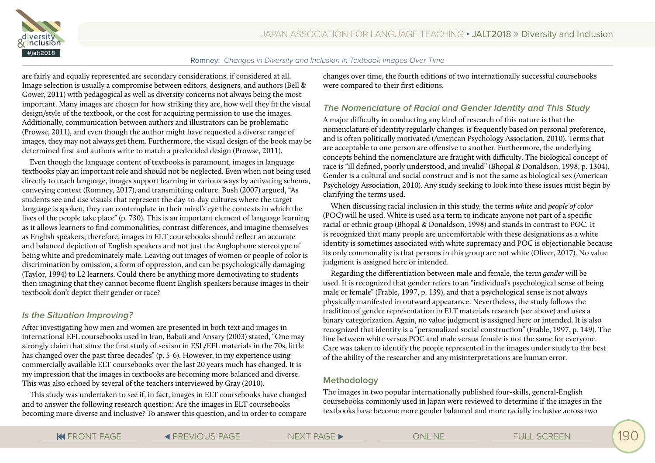

are fairly and equally represented are secondary considerations, if considered at all. Image selection is usually a compromise between editors, designers, and authors (Bell & Gower, 2011) with pedagogical as well as diversity concerns not always being the most important. Many images are chosen for how striking they are, how well they fit the visual design/style of the textbook, or the cost for acquiring permission to use the images. Additionally, communication between authors and illustrators can be problematic (Prowse, 2011), and even though the author might have requested a diverse range of images, they may not always get them. Furthermore, the visual design of the book may be determined first and authors write to match a predecided design (Prowse, 2011).

Even though the language content of textbooks is paramount, images in language textbooks play an important role and should not be neglected. Even when not being used directly to teach language, images support learning in various ways by activating schema, conveying context (Romney, 2017), and transmitting culture. Bush (2007) argued, "As students see and use visuals that represent the day-to-day cultures where the target language is spoken, they can contemplate in their mind's eye the contexts in which the lives of the people take place" (p. 730). This is an important element of language learning as it allows learners to find commonalities, contrast differences, and imagine themselves as English speakers; therefore, images in ELT coursebooks should reflect an accurate and balanced depiction of English speakers and not just the Anglophone stereotype of being white and predominately male. Leaving out images of women or people of color is discrimination by omission, a form of oppression, and can be psychologically damaging (Taylor, 1994) to L2 learners. Could there be anything more demotivating to students then imagining that they cannot become fluent English speakers because images in their textbook don't depict their gender or race?

## **Is the Situation Improving?**

After investigating how men and women are presented in both text and images in international EFL coursebooks used in Iran, Babaii and Ansary (2003) stated, "One may strongly claim that since the first study of sexism in ESL/EFL materials in the 70s, little has changed over the past three decades" (p. 5-6). However, in my experience using commercially available ELT coursebooks over the last 20 years much has changed. It is my impression that the images in textbooks are becoming more balanced and diverse. This was also echoed by several of the teachers interviewed by Gray (2010).

This study was undertaken to see if, in fact, images in ELT coursebooks have changed and to answer the following research question: Are the images in ELT coursebooks becoming more diverse and inclusive? To answer this question, and in order to compare changes over time, the fourth editions of two internationally successful coursebooks were compared to their first editions.

## **The Nomenclature of Racial and Gender Identity and This Study**

A major difficulty in conducting any kind of research of this nature is that the nomenclature of identity regularly changes, is frequently based on personal preference, and is often politically motivated (American Psychology Association, 2010). Terms that are acceptable to one person are offensive to another. Furthermore, the underlying concepts behind the nomenclature are fraught with difficulty. The biological concept of race is "ill defined, poorly understood, and invalid" (Bhopal & Donaldson, 1998, p. 1304). Gender is a cultural and social construct and is not the same as biological sex (American Psychology Association, 2010). Any study seeking to look into these issues must begin by clarifying the terms used.

When discussing racial inclusion in this study, the terms *white* and *people of color*  (POC) will be used. White is used as a term to indicate anyone not part of a specific racial or ethnic group (Bhopal & Donaldson, 1998) and stands in contrast to POC. It is recognized that many people are uncomfortable with these designations as a white identity is sometimes associated with white supremacy and POC is objectionable because its only commonality is that persons in this group are not white (Oliver, 2017). No value judgment is assigned here or intended.

Regarding the differentiation between male and female, the term *gender* will be used. It is recognized that gender refers to an "individual's psychological sense of being male or female" (Frable, 1997, p. 139), and that a psychological sense is not always physically manifested in outward appearance. Nevertheless, the study follows the tradition of gender representation in ELT materials research (see above) and uses a binary categorization. Again, no value judgment is assigned here or intended. It is also recognized that identity is a "personalized social construction" (Frable, 1997, p. 149). The line between white versus POC and male versus female is not the same for everyone. Care was taken to identify the people represented in the images under study to the best of the ability of the researcher and any misinterpretations are human error.

## **Methodology**

The images in two popular internationally published four-skills, general-English coursebooks commonly used in Japan were reviewed to determine if the images in the textbooks have become more gender balanced and more racially inclusive across two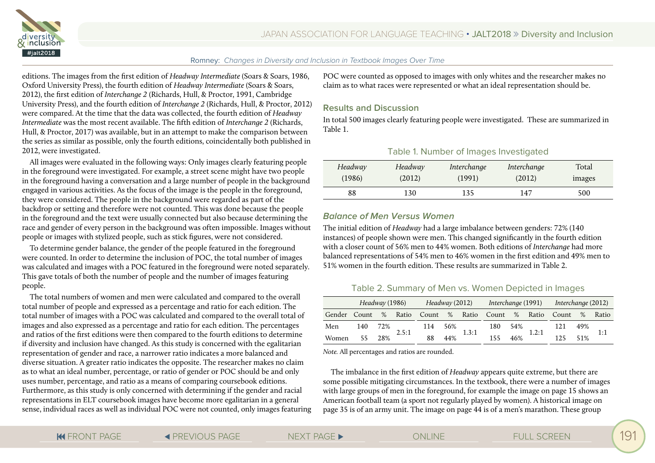



editions. The images from the first edition of *Headway Intermediate* (Soars & Soars, 1986, Oxford University Press), the fourth edition of *Headway Intermediate* (Soars & Soars, 2012), the first edition of *Interchange 2* (Richards, Hull, & Proctor, 1991, Cambridge University Press), and the fourth edition of *Interchange 2* (Richards, Hull, & Proctor, 2012) were compared. At the time that the data was collected, the fourth edition of *Headway Intermediate* was the most recent available. The fifth edition of *Interchange 2* (Richards, Hull, & Proctor, 2017) was available, but in an attempt to make the comparison between the series as similar as possible, only the fourth editions, coincidentally both published in 2012, were investigated.

All images were evaluated in the following ways: Only images clearly featuring people in the foreground were investigated. For example, a street scene might have two people in the foreground having a conversation and a large number of people in the background engaged in various activities. As the focus of the image is the people in the foreground, they were considered. The people in the background were regarded as part of the backdrop or setting and therefore were not counted. This was done because the people in the foreground and the text were usually connected but also because determining the race and gender of every person in the background was often impossible. Images without people or images with stylized people, such as stick figures, were not considered.

To determine gender balance, the gender of the people featured in the foreground were counted. In order to determine the inclusion of POC, the total number of images was calculated and images with a POC featured in the foreground were noted separately. This gave totals of both the number of people and the number of images featuring people.

The total numbers of women and men were calculated and compared to the overall total number of people and expressed as a percentage and ratio for each edition. The total number of images with a POC was calculated and compared to the overall total of images and also expressed as a percentage and ratio for each edition. The percentages and ratios of the first editions were then compared to the fourth editions to determine if diversity and inclusion have changed. As this study is concerned with the egalitarian representation of gender and race, a narrower ratio indicates a more balanced and diverse situation. A greater ratio indicates the opposite. The researcher makes no claim as to what an ideal number, percentage, or ratio of gender or POC should be and only uses number, percentage, and ratio as a means of comparing coursebook editions. Furthermore, as this study is only concerned with determining if the gender and racial representations in ELT coursebook images have become more egalitarian in a general sense, individual races as well as individual POC were not counted, only images featuring POC were counted as opposed to images with only whites and the researcher makes no claim as to what races were represented or what an ideal representation should be.

#### **Results and Discussion**

In total 500 images clearly featuring people were investigated. These are summarized in Table 1.

| Table 1. Number of Images Investigated |  |  |
|----------------------------------------|--|--|
|----------------------------------------|--|--|

| Headway | Headway | Interchange | Interchange | Total  |
|---------|---------|-------------|-------------|--------|
| (1986)  | (2012)  | (1991)      | (2012)      | images |
| 88      | 130     | 135         | 147         | 500    |

#### **Balance of Men Versus Women**

The initial edition of *Headway* had a large imbalance between genders: 72% (140 instances) of people shown were men. This changed significantly in the fourth edition with a closer count of 56% men to 44% women. Both editions of *Interchange* had more balanced representations of 54% men to 46% women in the first edition and 49% men to 51% women in the fourth edition. These results are summarized in Table 2.

## Table 2. Summary of Men vs. Women Depicted in Images

|                | Headway (1986) |     | Headway (2012) |     |     | Interchange (1991) Interchange (2012) |                                                 |     |       |     |     |     |
|----------------|----------------|-----|----------------|-----|-----|---------------------------------------|-------------------------------------------------|-----|-------|-----|-----|-----|
| Gender Count % |                |     |                |     |     |                                       | Ratio Count % Ratio Count % Ratio Count % Ratio |     |       |     |     |     |
| Men            | 140 72%        |     | 2.5:1          | 114 | 56% |                                       | 180.                                            | 54% | 1.2:1 | 121 | 49% | 1:1 |
| Women          | 55             | 28% |                | 88  | 44% | 1.3:1                                 | 155                                             | 46% |       | 125 | 51% |     |

*Note.* All percentages and ratios are rounded.

The imbalance in the first edition of *Headway* appears quite extreme, but there are some possible mitigating circumstances. In the textbook, there were a number of images with large groups of men in the foreground, for example the image on page 15 shows an American football team (a sport not regularly played by women). A historical image on page 35 is of an army unit. The image on page 44 is of a men's marathon. These group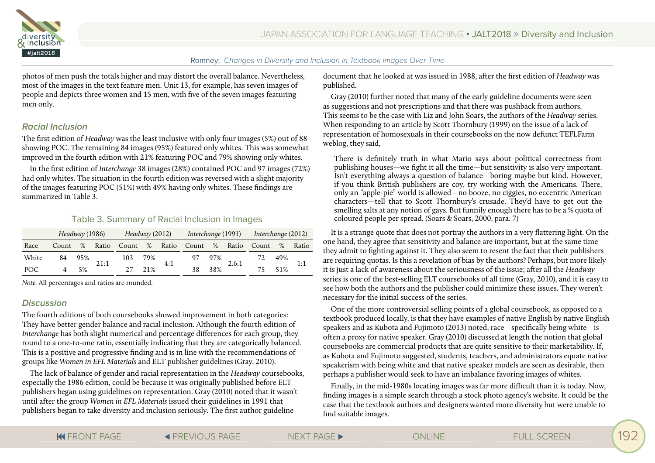

photos of men push the totals higher and may distort the overall balance. Nevertheless, most of the images in the text feature men. Unit 13, for example, has seven images of people and depicts three women and 15 men, with five of the seven images featuring men only.

## **Racial Inclusion**

The first edition of *Headway* was the least inclusive with only four images (5%) out of 88 showing POC. The remaining 84 images (95%) featured only whites. This was somewhat improved in the fourth edition with 21% featuring POC and 79% showing only whites.

In the first edition of *Interchange* 38 images (28%) contained POC and 97 images (72%) had only whites. The situation in the fourth edition was reversed with a slight majority of the images featuring POC (51%) with 49% having only whites. These findings are summarized in Table 3.

#### Table 3. Summary of Racial Inclusion in Images

|            | Headway (1986) |     |      | Headway (2012) |      |     | Interchange (1991) |     |       | Interchange (2012)                      |      |       |
|------------|----------------|-----|------|----------------|------|-----|--------------------|-----|-------|-----------------------------------------|------|-------|
| Race       | Count          | %   |      |                |      |     |                    |     |       | Ratio Count % Ratio Count % Ratio Count | $\%$ | Ratio |
| White      | 84             | 95% | 21:1 | 103            | 79%  |     |                    | 97% | 2.6:1 |                                         | 49%  | 1:1   |
| <b>POC</b> |                | 5%  |      | 27             | 2.1% | 4:1 | 38                 | 38% |       | 75                                      | 51%  |       |

*Note.* All percentages and ratios are rounded.

## **Discussion**

The fourth editions of both coursebooks showed improvement in both categories: They have better gender balance and racial inclusion. Although the fourth edition of *Interchange* has both slight numerical and percentage differences for each group, they round to a one-to-one ratio, essentially indicating that they are categorically balanced. This is a positive and progressive finding and is in line with the recommendations of groups like *Women in EFL Materials* and ELT publisher guidelines (Gray, 2010).

The lack of balance of gender and racial representation in the *Headway* coursebooks, especially the 1986 edition, could be because it was originally published before ELT publishers began using guidelines on representation. Gray (2010) noted that it wasn't until after the group *Women in EFL Materials* issued their guidelines in 1991 that publishers began to take diversity and inclusion seriously. The first author guideline

document that he looked at was issued in 1988, after the first edition of *Headway* was published.

Gray (2010) further noted that many of the early guideline documents were seen as suggestions and not prescriptions and that there was pushback from authors. This seems to be the case with Liz and John Soars, the authors of the *Headway* series. When responding to an article by Scott Thornbury (1999) on the issue of a lack of representation of homosexuals in their coursebooks on the now defunct TEFLFarm weblog, they said,

There is definitely truth in what Mario says about political correctness from publishing houses—we fight it all the time—but sensitivity is also very important. Isn't everything always a question of balance—boring maybe but kind. However, if you think British publishers are coy, try working with the Americans. There, only an "apple-pie" world is allowed—no booze, no ciggies, no eccentric American characters—tell that to Scott Thornbury's crusade. They'd have to get out the smelling salts at any notion of gays. But funnily enough there has to be a % quota of coloured people per spread. (Soars & Soars, 2000, para. 7)

It is a strange quote that does not portray the authors in a very flattering light. On the one hand, they agree that sensitivity and balance are important, but at the same time they admit to fighting against it. They also seem to resent the fact that their publishers are requiring quotas. Is this a revelation of bias by the authors? Perhaps, but more likely it is just a lack of awareness about the seriousness of the issue; after all the *Headway* series is one of the best-selling ELT coursebooks of all time (Gray, 2010), and it is easy to see how both the authors and the publisher could minimize these issues. They weren't necessary for the initial success of the series.

One of the more controversial selling points of a global coursebook, as opposed to a textbook produced locally, is that they have examples of native English by native English speakers and as Kubota and Fujimoto (2013) noted, race—specifically being white—is often a proxy for native speaker. Gray (2010) discussed at length the notion that global coursebooks are commercial products that are quite sensitive to their marketability. If, as Kubota and Fujimoto suggested, students, teachers, and administrators equate native speakerism with being white and that native speaker models are seen as desirable, then perhaps a publisher would seek to have an imbalance favoring images of whites.

Finally, in the mid-1980s locating images was far more difficult than it is today. Now, finding images is a simple search through a stock photo agency's website. It could be the case that the textbook authors and designers wanted more diversity but were unable to find suitable images.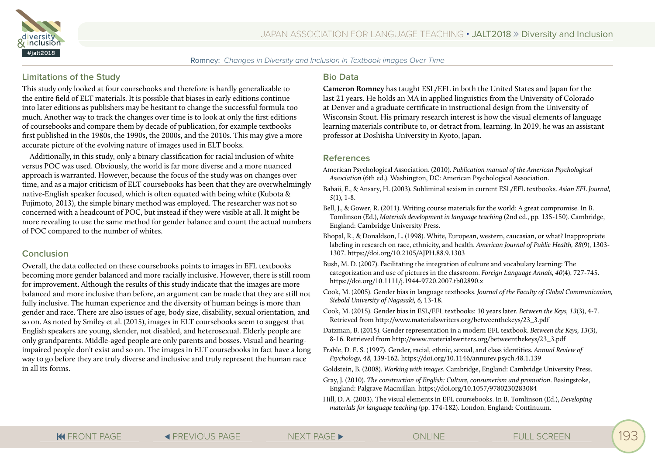



#### **Limitations of the Study**

This study only looked at four coursebooks and therefore is hardly generalizable to the entire field of ELT materials. It is possible that biases in early editions continue into later editions as publishers may be hesitant to change the successful formula too much. Another way to track the changes over time is to look at only the first editions of coursebooks and compare them by decade of publication, for example textbooks first published in the 1980s, the 1990s, the 2000s, and the 2010s. This may give a more accurate picture of the evolving nature of images used in ELT books.

Additionally, in this study, only a binary classification for racial inclusion of white versus POC was used. Obviously, the world is far more diverse and a more nuanced approach is warranted. However, because the focus of the study was on changes over time, and as a major criticism of ELT coursebooks has been that they are overwhelmingly native-English speaker focused, which is often equated with being white (Kubota & Fujimoto, 2013), the simple binary method was employed. The researcher was not so concerned with a headcount of POC, but instead if they were visible at all. It might be more revealing to use the same method for gender balance and count the actual numbers of POC compared to the number of whites.

#### **Conclusion**

Overall, the data collected on these coursebooks points to images in EFL textbooks becoming more gender balanced and more racially inclusive. However, there is still room for improvement. Although the results of this study indicate that the images are more balanced and more inclusive than before, an argument can be made that they are still not fully inclusive. The human experience and the diversity of human beings is more than gender and race. There are also issues of age, body size, disability, sexual orientation, and so on. As noted by Smiley et al. (2015), images in ELT coursebooks seem to suggest that English speakers are young, slender, not disabled, and heterosexual. Elderly people are only grandparents. Middle-aged people are only parents and bosses. Visual and hearingimpaired people don't exist and so on. The images in ELT coursebooks in fact have a long way to go before they are truly diverse and inclusive and truly represent the human race in all its forms.

#### **Bio Data**

**Cameron Romney** has taught ESL/EFL in both the United States and Japan for the last 21 years. He holds an MA in applied linguistics from the University of Colorado at Denver and a graduate certificate in instructional design from the University of Wisconsin Stout. His primary research interest is how the visual elements of language learning materials contribute to, or detract from, learning. In 2019, he was an assistant professor at Doshisha University in Kyoto, Japan.

#### **References**

- American Psychological Association. (2010). *Publication manual of the American Psychological Association* (6th ed.). Washington, DC: American Psychological Association.
- Babaii, E., & Ansary, H. (2003). Subliminal sexism in current ESL/EFL textbooks. *Asian EFL Journal, 5*(1), 1-8.
- Bell, J., & Gower, R. (2011). Writing course materials for the world: A great compromise. In B. Tomlinson (Ed.), *Materials development in language teaching* (2nd ed., pp. 135-150)*.* Cambridge, England: Cambridge University Press.
- Bhopal, R., & Donaldson, L. (1998). White, European, western, caucasian, or what? Inappropriate labeling in research on race, ethnicity, and health. *American Journal of Public Health, 88*(9), 1303- 1307. https://doi.org/10.2105/AJPH.88.9.1303
- Bush, M. D. (2007). Facilitating the integration of culture and vocabulary learning: The categorization and use of pictures in the classroom. *Foreign Language Annals, 40*(4), 727-745. https://doi.org/10.1111/j.1944-9720.2007.tb02890.x
- Cook, M. (2005). Gender bias in language textbooks. *Journal of the Faculty of Global Communication, Siebold University of Nagasaki, 6,* 13-18.
- Cook, M. (2015). Gender bias in ESL/EFL textbooks: 10 years later. *Between the Keys, 13*(3), 4-7. Retrieved from http://www.materialswriters.org/betweenthekeys/23\_3.pdf
- Datzman, B. (2015). Gender representation in a modern EFL textbook. *Between the Keys, 13*(3), 8-16. Retrieved from http://www.materialswriters.org/betweenthekeys/23\_3.pdf
- Frable, D. E. S. (1997). Gender, racial, ethnic, sexual, and class identities. *Annual Review of Psychology, 48,* 139-162. https://doi.org/10.1146/annurev.psych.48.1.139

Goldstein, B. (2008). *Working with images*. Cambridge, England: Cambridge University Press.

- Gray, J. (2010). *The construction of English: Culture, consumerism and promotion*. Basingstoke, England: Palgrave Macmillan. https://doi.org/10.1057/9780230283084
- Hill, D. A. (2003). The visual elements in EFL coursebooks. In B. Tomlinson (Ed.), *Developing materials for language teaching* (pp. 174-182). London, England: Continuum.